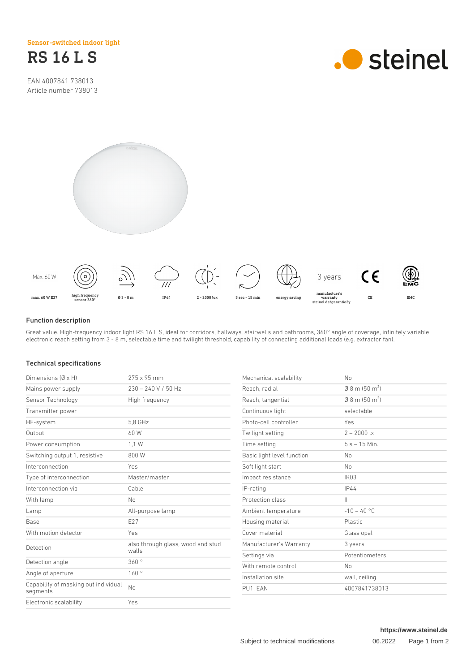Sensor-switched indoor light



EAN 4007841 738013 Article number 738013







#### Function description

Great value. High-frequency indoor light RS 16 L S, ideal for corridors, hallways, stairwells and bathrooms, 360° angle of coverage, infinitely variable electronic reach setting from 3 - 8 m, selectable time and twilight threshold, capability of connecting additional loads (e.g. extractor fan).

### Technical specifications

| Dimensions $(\emptyset \times H)$                | 275 x 95 mm                                | Mechanical scalability     | <b>No</b>                            |
|--------------------------------------------------|--------------------------------------------|----------------------------|--------------------------------------|
| Mains power supply                               | $230 - 240$ V / 50 Hz                      | Reach, radial              | $\emptyset$ 8 m (50 m <sup>2</sup> ) |
| Sensor Technology                                | High frequency                             | Reach, tangential          | $0.8$ m (50 m <sup>2</sup> )         |
| Transmitter power                                |                                            | Continuous light           | selectable                           |
| HF-system                                        | 5.8 GHz                                    | Photo-cell controller      | Yes                                  |
| Output                                           | 60 W                                       | Twilight setting           | $2 - 2000$ lx                        |
| Power consumption                                | 1.1 W                                      | Time setting               | $5s - 15$ Min.                       |
| Switching output 1, resistive                    | 800W                                       | Basic light level function | No.                                  |
| Interconnection                                  | Yes                                        | Soft light start           | <b>No</b>                            |
| Type of interconnection                          | Master/master                              | Impact resistance          | IK03                                 |
| Interconnection via                              | Cable                                      | IP-rating                  | <b>IP44</b>                          |
| With lamp                                        | <b>No</b>                                  | Protection class           | $\mathbb{H}$                         |
| Lamp                                             | All-purpose lamp                           | Ambient temperature        | $-10 - 40$ °C                        |
| Base                                             | E27                                        | Housing material           | Plastic                              |
| With motion detector                             | Yes                                        | Cover material             | Glass opal                           |
| Detection                                        | also through glass, wood and stud<br>walls | Manufacturer's Warranty    | 3 years                              |
|                                                  |                                            | Settings via               | Potentiometers                       |
| Detection angle                                  | 360°                                       | With remote control        | <b>No</b>                            |
| Angle of aperture                                | 160°                                       | Installation site          | wall, ceiling                        |
| Capability of masking out individual<br>segments | No                                         | PU1, EAN                   | 4007841738013                        |
| Electronic scalability                           | Yes                                        |                            |                                      |